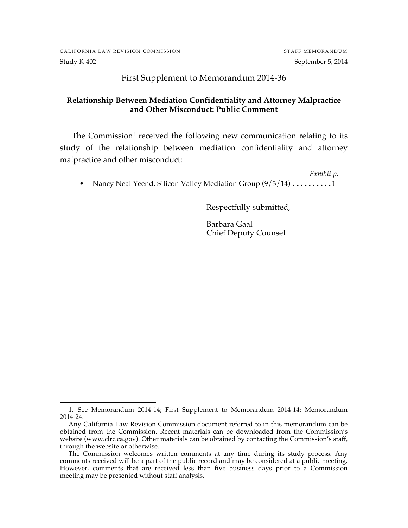Study K-402 September 5, 2014

## First Supplement to Memorandum 2014-36

## **Relationship Between Mediation Confidentiality and Attorney Malpractice and Other Misconduct: Public Comment**

The Commission<sup>1</sup> received the following new communication relating to its study of the relationship between mediation confidentiality and attorney malpractice and other misconduct:

*Exhibit p.* • Nancy Neal Yeend, Silicon Valley Mediation Group (9/3/14) ..........1

Respectfully submitted,

Barbara Gaal Chief Deputy Counsel

 <sup>1.</sup> See Memorandum 2014-14; First Supplement to Memorandum 2014-14; Memorandum 2014-24.

Any California Law Revision Commission document referred to in this memorandum can be obtained from the Commission. Recent materials can be downloaded from the Commission's website (www.clrc.ca.gov). Other materials can be obtained by contacting the Commission's staff, through the website or otherwise.

The Commission welcomes written comments at any time during its study process. Any comments received will be a part of the public record and may be considered at a public meeting. However, comments that are received less than five business days prior to a Commission meeting may be presented without staff analysis.